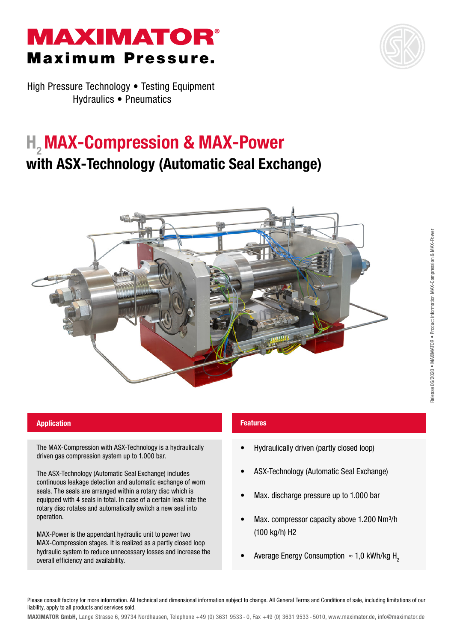# **MAXIMATOR®** Maximum Pressure.



High Pressure Technology • Testing Equipment Hydraulics • Pneumatics

## H<sub>2</sub> MAX-Compression & MAX-Power with ASX-Technology (Automatic Seal Exchange)



### **Application Features Application Features**

The MAX-Compression with ASX-Technology is a hydraulically driven gas compression system up to 1.000 bar.

The ASX-Technology (Automatic Seal Exchange) includes continuous leakage detection and automatic exchange of worn seals. The seals are arranged within a rotary disc which is equipped with 4 seals in total. In case of a certain leak rate the rotary disc rotates and automatically switch a new seal into operation.

MAX-Power is the appendant hydraulic unit to power two MAX-Compression stages. It is realized as a partly closed loop hydraulic system to reduce unnecessary losses and increase the overall efficiency and availability.

- Hydraulically driven (partly closed loop)
- ASX-Technology (Automatic Seal Exchange)
- Max. discharge pressure up to 1.000 bar
- Max. compressor capacity above 1.200 Nm<sup>3</sup>/h (100 kg/h) H2
- Average Energy Consumption  $\approx$  1,0 kWh/kg H<sub>2</sub>

Please consult factory for more information. All technical and dimensional information subject to change. All General Terms and Conditions of sale, including limitations of our liability, apply to all products and services sold.

Release 06/2020 • MAXIMATOR • Product information MAX-Compression & MAX-Power

Release 06/2020 . MAXIMATOR . Product information MAX-Compression & MAX-Power

MAXIMATOR GmbH, Lange Strasse 6, 99734 Nordhausen, Telephone +49 (0) 3631 9533 - 0, Fax +49 (0) 3631 9533 - 5010, www.maximator.de, info@maximator.de